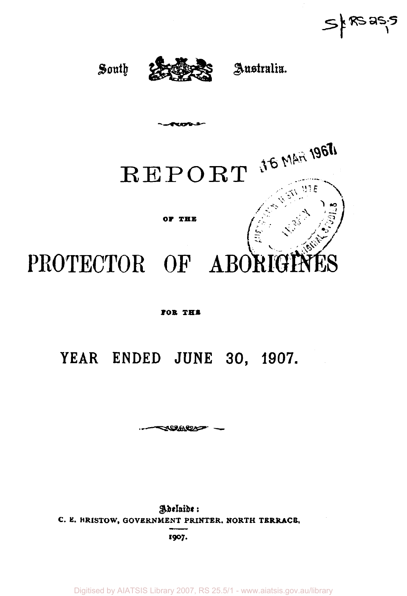$S$   $k$  RS as.









**Permanent** 



#### **JOB IE1**

# **YEAR ENDED JUNE 30, 1907.**

**--—***^SS»MSOiff^-*

Adelaide: **C. E. BRISTOW, GOVERNMENT PRINTER. NORTH TERRACE. I907.** 

Digitised by AIATSIS Library 2007, RS 25.5/1 - www.aiatsis.gov.au/library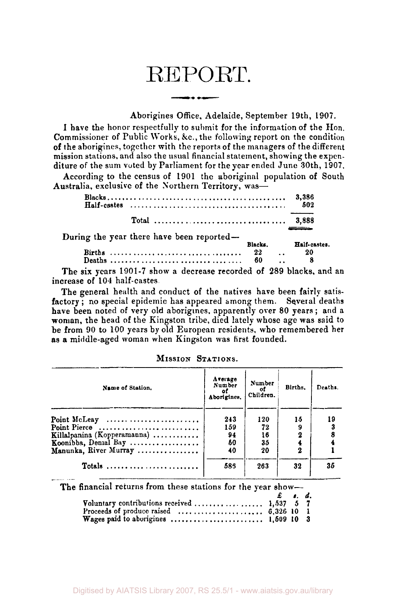# REPORT.

### Aborigines Office, Adelaide, September 19th, 1907.

I have the honor respectfully to submit for the information of the Hon. Commissioner of Public Works, &c.,the following report on the condition of the aborigines, together with the reports of the managers of the different mission stations, and also the usual financial statement, showing the expenditure of the sum voted by Parliament for the year ended June 30th, 1907.

According to the census of 1901 the aboriginal population of South Australia, exclusive of the Northern Territory, was—

|                                                                                                                                                                                                                                                                                                  | 3,386<br>502 |
|--------------------------------------------------------------------------------------------------------------------------------------------------------------------------------------------------------------------------------------------------------------------------------------------------|--------------|
|                                                                                                                                                                                                                                                                                                  |              |
| During the year there have been reported-<br>Blacks.                                                                                                                                                                                                                                             | Half-castes. |
|                                                                                                                                                                                                                                                                                                  | $\ldots$ 20  |
| $\mathbf{r}$ and $\mathbf{r}$ and $\mathbf{r}$ and $\mathbf{r}$ and $\mathbf{r}$ and $\mathbf{r}$ and $\mathbf{r}$ and $\mathbf{r}$ and $\mathbf{r}$ and $\mathbf{r}$ and $\mathbf{r}$ and $\mathbf{r}$ and $\mathbf{r}$ and $\mathbf{r}$ and $\mathbf{r}$ and $\mathbf{r}$ and $\mathbf{r}$ and |              |

The six years 1901-7 show a decrease recorded of 289 blacks, and an increase of 104 half-castes.

The general health and conduct of the natives have been fairly satisfactory; no special epidemic has appeared among them. Several deaths have been noted of very old aborigines, apparently over 80 years; and a woman, the head of the Kingston tribe, died lately whose age was said to be from 90 to 100 years by old European residents, who remembered her as a middle-aged woman when Kingston was first founded.

Arerage Number Number **Births.**  Name of Station. Deaths. **of of Children.**  Aborigines. 243 120 15 19 Point McLeay ........................ Point Pierce ............................ 159 72 9 3 Killalpanina (Kopperamanna) ........... 94 16 2 8 Koonibba, Denial Bay .................. 50 35 4 4 Manunka, River Murray 40 20 2 1 585 263 32 35 Totals ........................

MISSION STATIONS.

The financial returns from these stations for the year show-*£ s d.*  Voluntary contributions received  $\ldots \ldots \ldots \ldots$  1,537 Proceeds of produce raised 6.326 10 1

Wages paid to aborigines ,... , 1,509 10 3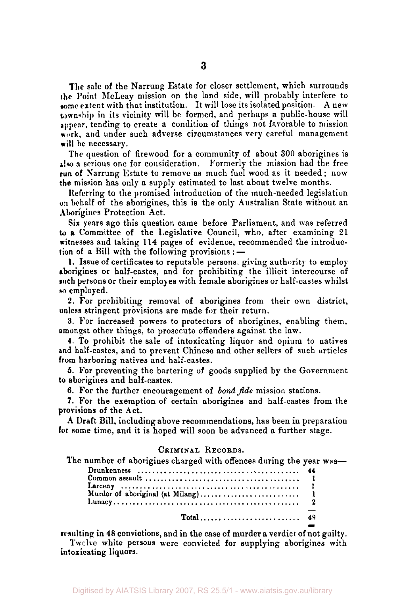The sale of the Narrung Estate for closer settlement, which surrounds the Point McLeay mission on the land side, will probably interfere to some extent with that institution. It will lose its isolated position. A new township in its vicinity will be formed, and perhaps a public-house will appear, tending to create a condition of things not favorable to mission work, and under such adverse circumstances very careful management will be necessary.

The question of firewood for a community of about 300 aborigines is also a serious one for consideration. Formerly the mission had the free run of Narrung Estate to remove as much fuel wood as it needed; now the mission has only a supply estimated to last about twelve months.

Referring to the promised introduction of the much-needed legislation on behalf of the aborigines, this is the only Australian State without an Aborigines Protection Act.

Six years ago this question came before Parliament, and was referred to a Committee of the Legislative Council, who, after examining 21 witnesses and taking 114 pages of evidence, recommended the introduction of a Bill with the following provisions : —

1. Issue of certificates to reputable persons, giving authority to employ aborigines or half-castes, and for prohibiting the illicit intercourse of such persons or their employes with female aborigines or half-castes whilst so employed.

2. For prohibiting removal of aborigines from their own district, unless stringent provisions are made for their return.

3. For increased powers to protectors of aborigines, enabling them, amongst other things, to prosecute offenders against the law.

4. To prohibit the sale of intoxicating liquor and opium to natives and half-castes, and to prevent Chinese and other sellers of such articles from harboring natives and half-castes.

5. For preventing the bartering of goods supplied by the Government to aborigines and half-castes.

6. For the further encouragement of bond fide mission stations.

7. For the exemption of certain aborigines and half-castes from the provisions of the Act.

A Draft Bill, including above recommendations, has been in preparation for some time, and it is hoped will soon be advanced a further stage.

## CRIMINAL RECORDS.

The number of aborigines charged with offences during the year was—

| $Total \dots \dots \dots \dots \dots \dots \dots \dots \quad 49$ |  |
|------------------------------------------------------------------|--|

resulting in 48 convictions, and in the case of murder a verdict of not guilty. Twelve white persons were convicted for supplying aborigines with intoxicating liquors.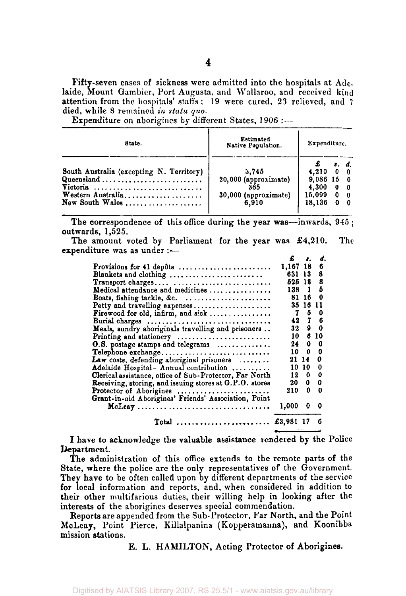Fifty-seven cases of sickness were admitted into the hospitals at Adelaide, Mount Gambier, Port Augusta, and Wallaroo, and received kind attention from the hospitals' staffs; 19 were cured, 23 relieved, and  $7$ died, while 8 remained *in statu quo.* 

Expenditure on aborigines by different States, 1906 :---

| State.                                   | <b>Estimated</b><br>Native Population. |                   | Expenditure.                          |                               |  |
|------------------------------------------|----------------------------------------|-------------------|---------------------------------------|-------------------------------|--|
|                                          |                                        |                   |                                       | $\mathbf{a} \cdot \mathbf{d}$ |  |
| South Australia (excepting N. Territory) | 3,745                                  | $4.210 \t 0 \t 0$ |                                       |                               |  |
| Queensland                               | 20,000 (approximate)                   | $9,086$ 15 0      |                                       |                               |  |
|                                          | 365                                    | 4.300             | $\bf{0}$                              | - 0                           |  |
| Western Australia                        | 30,000 (approximate)                   | 15,099            | $\begin{array}{cc} 0 & 0 \end{array}$ |                               |  |
| $\mathbf{New}$ South Wales               | 6.910                                  | 18.136            |                                       | $0\quad 0$                    |  |

The correspondence of this office during the year was—inwards, 945; outwards, 1,525.

The amount voted by Parliament for the year was £4,210. The expenditure was as under :—

|                                                           | £           | $\mathbf{a}$ | d.  |
|-----------------------------------------------------------|-------------|--------------|-----|
| Provisions for 41 depôts                                  | 1,167 18    |              | 6   |
| Blankets and clothing                                     | 631 13      |              | 8   |
| Transport charges                                         | 525 18      |              | 8   |
| Medical attendance and medicines                          | 138         | $\mathbf{1}$ | б   |
| Boats, fishing tackle, &c.                                | 81          | -16          | 0   |
| Petty and travelling expenses                             | 35          | 16 11        |     |
| Firewood for old, infirm, and sick                        | 7           |              | 50  |
| Burial charges                                            |             | 42 7 6       |     |
| Meals, sundry aboriginals travelling and prisoners        | 32          |              | 90  |
| Printing and stationery                                   | 10.         |              | 610 |
| O.S. postage stamps and telegrams                         | 24.         | $\mathbf{0}$ | - 0 |
| Telephone exchange                                        | 10.         | $\bf{0}$     | 0   |
| Law costs, defending aboriginal prisoners $\ldots \ldots$ | 21          | 14           | 0   |
| Adelaide Hospital - Annual contribution                   | 10          | $10-10$      | 0   |
| Clerical assistance, office of Sub-Protector, Far North   | 12          | 0            | 0   |
| Receiving, storing, and issuing stores at G.P.O. stores   | 20          | 0            | 0   |
| Protector of Aborigines                                   | 210         | 0            | o   |
| Grant-in-aid Aborigines' Friends' Association, Point      |             |              |     |
|                                                           | 1,000       | 0            | 0   |
| Total $\ldots$ ,,,,,,,,,,,,,,,,,,,,,,,,,,                 | £3,981 17 6 |              |     |

I have to acknowledge the valuable assistance rendered by the Police Department.

The administration of this office extends to the remote parts of the State, where the police are the only representatives of the Government. They have to be often called upon by different departments of the service for local information and reports, and, when considered in addition to their other multifarious duties, their willing help in looking after the interests of the aborigines deserves special commendation.

Reports are appended from the Sub-Protector, Far North, and the Point McLeay, Point Pierce, Killalpanina (Kopperamanna), and Koonibba mission stations.

E. L. HAMILTON, Acting Protector of Aborigines.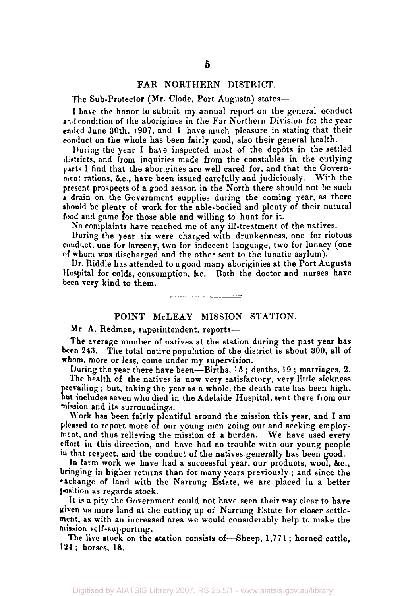#### FAR NORTHERN DISTRICT.

The Sub-Protector (Mr. Clode, Port Augusta) states—

I have the honor to submit my annual report on the general conduct and condition of the aborigines in the Far Northern Division for the year ended June 30th, 1907, and I have much pleasure in stating that their conduct on the whole has been fairly good, also their general health.

During the year I have inspected most of the depots in the settled districts, and from inquiries made from the constables in the outlying parts. I find that the aborigines are well cared for, and that the Government rations, &c, have been issued carefully and judiciously. With the present prospects of a good season in the North there should not be such » drain on the Government supplies during the coming year, as there should be plenty of work for the able-bodied and plenty of their natural food and game for those able and willing to hunt for it.

No complaints have reached me of any ill-treatment of the natives.

During the year six were charged with drunkenness, one for riotous conduct, one for larceny, two for indecent language, two for lunacy (one of whom was discharged and the other sent to the lunatic asylum).

Dr. Riddle has attended to a good many aboriginies at the Port Augusta Hospital for colds, consumption, &c. Both the doctor and nurses have been very kind to them.

### POINT McLEAY MISSION STATION.

Mr. A. Redman, superintendent, reports—

The average number of natives at the station during the past year has been 243. The total native population of the district is about 300, all of whom, more or less, come under my supervision.

During the year there have been—Births, 15; deaths, 19; marriages, 2. The health of the natives is now very satisfactory, very little sickness prevailing ; but, taking the year as a whole, the death rate has been high, but includes seven who died in the Adelaide Hospital, sent there from our mission and its surroundings.

Work has been fairly plentiful around the mission this year, and I am pleased to report more of our young men going out and seeking employment, and thus relieving the mission of a burden. We have used every effort in this direction, and have had no trouble with our young people in that respect, and the conduct of the natives generally has been good.

In farm work we have had a successful year, our products, wool, &c., bringing in higher returns than for many years previously ; and since the exchange of land with the Narrung Estate, we are placed in a better position as regards stock.

It is a pity the Government could not have seen their way clear to have given us more land at the cutting up of Narrung Estate for closer settlement, as with an increased area we would considerably help to make the mission self-supporting.

The live stock on the station consists of—Sheep, 1,771 ; horned cattle, 124; horses, 18.